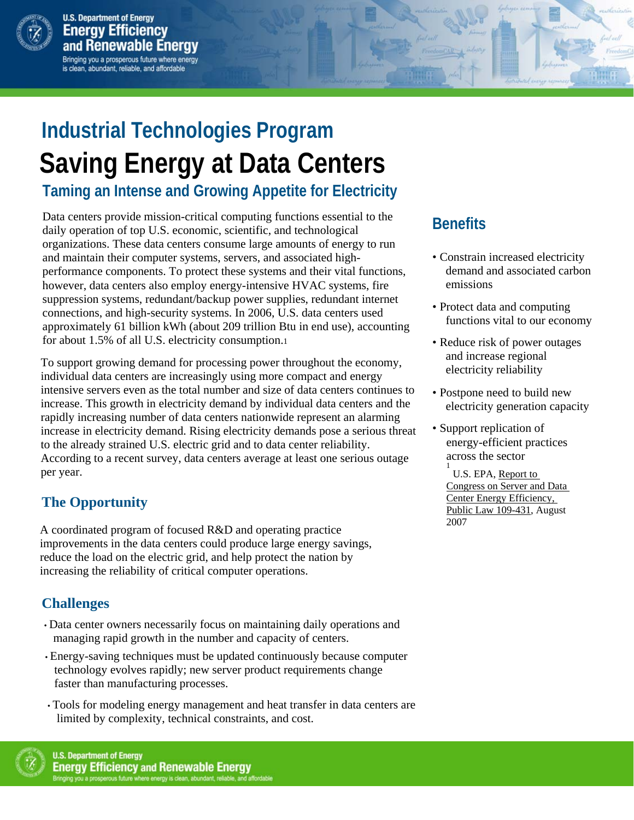

# **Industrial Technologies Program Saving Energy at Data Centers**

**Taming an Intense and Growing Appetite for Electricity** 

Data centers provide mission-critical computing functions essential to the daily operation of top U.S. economic, scientific, and technological organizations. These data centers consume large amounts of energy to run and maintain their computer systems, servers, and associated highperformance components. To protect these systems and their vital functions, however, data centers also employ energy-intensive HVAC systems, fire suppression systems, redundant/backup power supplies, redundant internet connections, and high-security systems. In 2006, U.S. data centers used approximately 61 billion kWh (about 209 trillion Btu in end use), accounting for about 1.5% of all U.S. electricity consumption.1

 intensive servers even as the total number and size of data centers continues to To support growing demand for processing power throughout the economy, individual data centers are increasingly using more compact and energy increase. This growth in electricity demand by individual data centers and the rapidly increasing number of data centers nationwide represent an alarming increase in electricity demand. Rising electricity demands pose a serious threat to the already strained U.S. electric grid and to data center reliability. According to a recent survey, data centers average at least one serious outage per year.

### **The Opportunity**

A coordinated program of focused R&D and operating practice improvements in the data centers could produce large energy savings, reduce the load on the electric grid, and help protect the nation by increasing the reliability of critical computer operations.

#### **Challenges**

- Data center owners necessarily focus on maintaining daily operations and managing rapid growth in the number and capacity of centers.
- Energy-saving techniques must be updated continuously because computer technology evolves rapidly; new server product requirements change faster than manufacturing processes.
- Tools for modeling energy management and heat transfer in data centers are limited by complexity, technical constraints, and cost.



## **Benefits**

- Constrain increased electricity demand and associated carbon emissions
- Protect data and computing functions vital to our economy
- Reduce risk of power outages and increase regional electricity reliability
- Postpone need to build new electricity generation capacity
- Support replication of energy-efficient practices across the sector 1

 U.S. EPA, Report to Congress on Server and Data Center Energy Efficiency, Public Law 109-431, August 2007